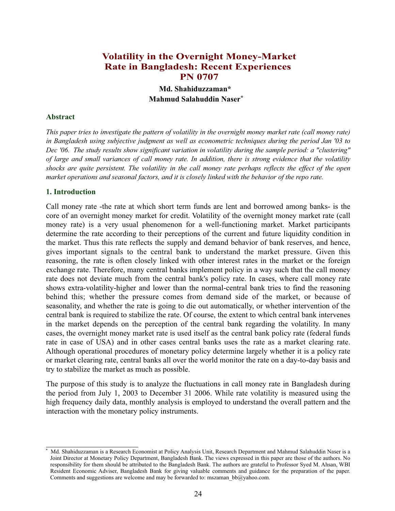# **Volatility in the Overnight Money-Market Rate in Bangladesh: Recent Experiences PN 0707**

**Md. Shahiduzzaman\* Mahmud Salahuddin Naser\***

# **Abstract**

*This paper tries to investigate the pattern of volatility in the overnight money market rate (call money rate) in Bangladesh using subjective judgment as well as econometric techniques during the period Jan '03 to Dec '06. The study results show significant variation in volatility during the sample period: a "clustering" of large and small variances of call money rate. In addition, there is strong evidence that the volatility shocks are quite persistent. The volatility in the call money rate perhaps reflects the effect of the open market operations and seasonal factors, and it is closely linked with the behavior of the repo rate.*

# **1. Introduction**

Call money rate -the rate at which short term funds are lent and borrowed among banks- is the core of an overnight money market for credit. Volatility of the overnight money market rate (call money rate) is a very usual phenomenon for a well-functioning market. Market participants determine the rate according to their perceptions of the current and future liquidity condition in the market. Thus this rate reflects the supply and demand behavior of bank reserves, and hence, gives important signals to the central bank to understand the market pressure. Given this reasoning, the rate is often closely linked with other interest rates in the market or the foreign exchange rate. Therefore, many central banks implement policy in a way such that the call money rate does not deviate much from the central bank's policy rate. In cases, where call money rate shows extra-volatility-higher and lower than the normal-central bank tries to find the reasoning behind this; whether the pressure comes from demand side of the market, or because of seasonality, and whether the rate is going to die out automatically, or whether intervention of the central bank is required to stabilize the rate. Of course, the extent to which central bank intervenes in the market depends on the perception of the central bank regarding the volatility. In many cases, the overnight money market rate is used itself as the central bank policy rate (federal funds rate in case of USA) and in other cases central banks uses the rate as a market clearing rate. Although operational procedures of monetary policy determine largely whether it is a policy rate or market clearing rate, central banks all over the world monitor the rate on a day-to-day basis and try to stabilize the market as much as possible.

The purpose of this study is to analyze the fluctuations in call money rate in Bangladesh during the period from July 1, 2003 to December 31 2006. While rate volatility is measured using the high frequency daily data, monthly analysis is employed to understand the overall pattern and the interaction with the monetary policy instruments.

<sup>\*</sup> Md. Shahiduzzaman is a Research Economist at Policy Analysis Unit, Research Department and Mahmud Salahuddin Naser is a Joint Director at Monetary Policy Department, Bangladesh Bank. The views expressed in this paper are those of the authors. No responsibility for them should be attributed to the Bangladesh Bank. The authors are grateful to Professor Syed M. Ahsan, WBI Resident Economic Adviser, Bangladesh Bank for giving valuable comments and guidance for the preparation of the paper. Comments and suggestions are welcome and may be forwarded to: mszaman  $bb@y$ ahoo.com.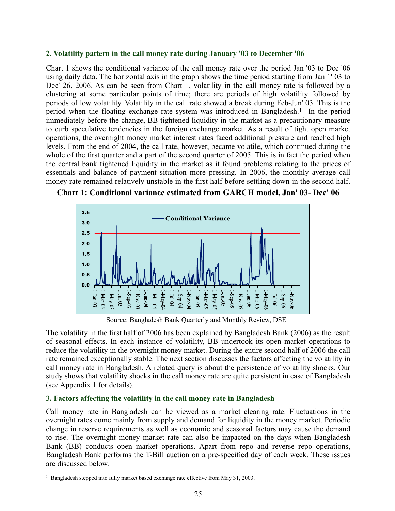# **2. Volatility pattern in the call money rate during January '03 to December '06**

Chart 1 shows the conditional variance of the call money rate over the period Jan '03 to Dec '06 using daily data. The horizontal axis in the graph shows the time period starting from Jan 1' 03 to Dec' 26, 2006. As can be seen from Chart 1, volatility in the call money rate is followed by a clustering at some particular points of time; there are periods of high volatility followed by periods of low volatility. Volatility in the call rate showed a break during Feb-Jun' 03. This is the period when the floating exchange rate system was introduced in Bangladesh.<sup>1</sup> In the period immediately before the change, BB tightened liquidity in the market as a precautionary measure to curb speculative tendencies in the foreign exchange market. As a result of tight open market operations, the overnight money market interest rates faced additional pressure and reached high levels. From the end of 2004, the call rate, however, became volatile, which continued during the whole of the first quarter and a part of the second quarter of 2005. This is in fact the period when the central bank tightened liquidity in the market as it found problems relating to the prices of essentials and balance of payment situation more pressing. In 2006, the monthly average call money rate remained relatively unstable in the first half before settling down in the second half.



**Chart 1: Conditional variance estimated from GARCH model, Jan' 03- Dec' 06**

Source: Bangladesh Bank Quarterly and Monthly Review, DSE

The volatility in the first half of 2006 has been explained by Bangladesh Bank (2006) as the result of seasonal effects. In each instance of volatility, BB undertook its open market operations to reduce the volatility in the overnight money market. During the entire second half of 2006 the call rate remained exceptionally stable. The next section discusses the factors affecting the volatility in call money rate in Bangladesh. A related query is about the persistence of volatility shocks. Our study shows that volatility shocks in the call money rate are quite persistent in case of Bangladesh (see Appendix 1 for details).

# **3. Factors affecting the volatility in the call money rate in Bangladesh**

Call money rate in Bangladesh can be viewed as a market clearing rate. Fluctuations in the overnight rates come mainly from supply and demand for liquidity in the money market. Periodic change in reserve requirements as well as economic and seasonal factors may cause the demand to rise. The overnight money market rate can also be impacted on the days when Bangladesh Bank (BB) conducts open market operations. Apart from repo and reverse repo operations, Bangladesh Bank performs the T-Bill auction on a pre-specified day of each week. These issues are discussed below.

 $\frac{1}{1}$  Bangladesh stepped into fully market based exchange rate effective from May 31, 2003.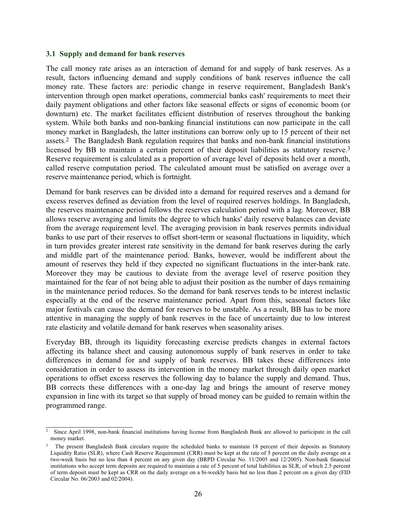## **3.1 Supply and demand for bank reserves**

The call money rate arises as an interaction of demand for and supply of bank reserves. As a result, factors influencing demand and supply conditions of bank reserves influence the call money rate. These factors are: periodic change in reserve requirement, Bangladesh Bank's intervention through open market operations, commercial banks cash' requirements to meet their daily payment obligations and other factors like seasonal effects or signs of economic boom (or downturn) etc. The market facilitates efficient distribution of reserves throughout the banking system. While both banks and non-banking financial institutions can now participate in the call money market in Bangladesh, the latter institutions can borrow only up to 15 percent of their net assets.2 The Bangladesh Bank regulation requires that banks and non-bank financial institutions licensed by BB to maintain a certain percent of their deposit liabilities as statutory reserve.<sup>3</sup> Reserve requirement is calculated as a proportion of average level of deposits held over a month, called reserve computation period. The calculated amount must be satisfied on average over a reserve maintenance period, which is fortnight.

Demand for bank reserves can be divided into a demand for required reserves and a demand for excess reserves defined as deviation from the level of required reserves holdings. In Bangladesh, the reserves maintenance period follows the reserves calculation period with a lag. Moreover, BB allows reserve averaging and limits the degree to which banks' daily reserve balances can deviate from the average requirement level. The averaging provision in bank reserves permits individual banks to use part of their reserves to offset short-term or seasonal fluctuations in liquidity, which in turn provides greater interest rate sensitivity in the demand for bank reserves during the early and middle part of the maintenance period. Banks, however, would be indifferent about the amount of reserves they held if they expected no significant fluctuations in the inter-bank rate. Moreover they may be cautious to deviate from the average level of reserve position they maintained for the fear of not being able to adjust their position as the number of days remaining in the maintenance period reduces. So the demand for bank reserves tends to be interest inelastic especially at the end of the reserve maintenance period. Apart from this, seasonal factors like major festivals can cause the demand for reserves to be unstable. As a result, BB has to be more attentive in managing the supply of bank reserves in the face of uncertainty due to low interest rate elasticity and volatile demand for bank reserves when seasonality arises.

Everyday BB, through its liquidity forecasting exercise predicts changes in external factors affecting its balance sheet and causing autonomous supply of bank reserves in order to take differences in demand for and supply of bank reserves. BB takes these differences into consideration in order to assess its intervention in the money market through daily open market operations to offset excess reserves the following day to balance the supply and demand. Thus, BB corrects these differences with a one-day lag and brings the amount of reserve money expansion in line with its target so that supply of broad money can be guided to remain within the programmed range.

 $\overline{a}$  Since April 1998, non-bank financial institutions having license from Bangladesh Bank are allowed to participate in the call money market.

<sup>&</sup>lt;sup>3</sup> The present Bangladesh Bank circulars require the scheduled banks to maintain 18 percent of their deposits as Statutory Liquidity Ratio (SLR), where Cash Reserve Requirement (CRR) must be kept at the rate of 5 percent on the daily average on a two-week basis but no less than 4 percent on any given day (BRPD Circular No. 11/2005 and 12/2005). Non-bank financial institutions who accept term deposits are required to maintain a rate of 5 percent of total liabilities as SLR, of which 2.5 percent of term deposit must be kept as CRR on the daily average on a bi-weekly basis but no less than 2 percent on a given day (FID Circular No. 06/2003 and 02/2004).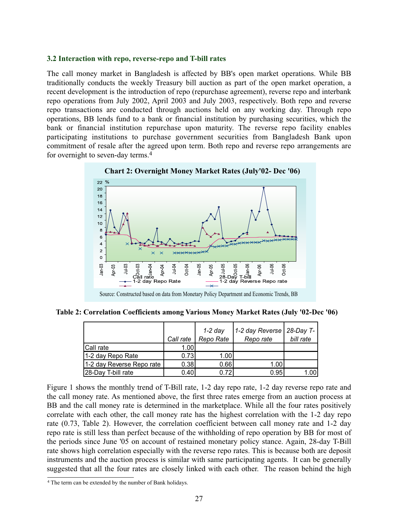#### **3.2 Interaction with repo, reverse-repo and T-bill rates**

The call money market in Bangladesh is affected by BB's open market operations. While BB traditionally conducts the weekly Treasury bill auction as part of the open market operation, a recent development is the introduction of repo (repurchase agreement), reverse repo and interbank repo operations from July 2002, April 2003 and July 2003, respectively. Both repo and reverse repo transactions are conducted through auctions held on any working day. Through repo operations, BB lends fund to a bank or financial institution by purchasing securities, which the bank or financial institution repurchase upon maturity. The reverse repo facility enables participating institutions to purchase government securities from Bangladesh Bank upon commitment of resale after the agreed upon term. Both repo and reverse repo arrangements are for overnight to seven-day terms.4



**Table 2: Correlation Coefficients among Various Money Market Rates (July '02-Dec '06)**

|                           | Call rate | $1-2$ day<br>Repo Rate | 1-2 day Reverse   28-Day T-<br>Repo rate | bill rate |
|---------------------------|-----------|------------------------|------------------------------------------|-----------|
| Call rate                 | 1.00      |                        |                                          |           |
| 1-2 day Repo Rate         | 0.73      | 1.00                   |                                          |           |
| 1-2 day Reverse Repo rate | 0.38      | 0.66                   | 1.00 <sub>l</sub>                        |           |
| 28-Day T-bill rate        | 0.40      | 0.72                   | 0.95                                     | 1.00      |

Figure 1 shows the monthly trend of T-Bill rate, 1-2 day repo rate, 1-2 day reverse repo rate and the call money rate. As mentioned above, the first three rates emerge from an auction process at BB and the call money rate is determined in the marketplace. While all the four rates positively correlate with each other, the call money rate has the highest correlation with the 1-2 day repo rate (0.73, Table 2). However, the correlation coefficient between call money rate and 1-2 day repo rate is still less than perfect because of the withholding of repo operation by BB for most of the periods since June '05 on account of restained monetary policy stance. Again, 28-day T-Bill rate shows high correlation especially with the reverse repo rates. This is because both are deposit instruments and the auction process is similar with same participating agents. It can be generally suggested that all the four rates are closely linked with each other. The reason behind the high

<sup>4</sup> The term can be extended by the number of Bank holidays.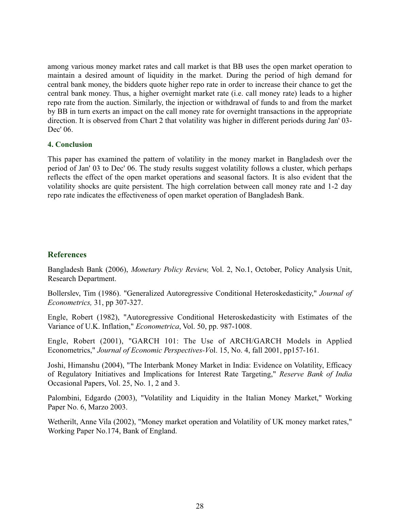among various money market rates and call market is that BB uses the open market operation to maintain a desired amount of liquidity in the market. During the period of high demand for central bank money, the bidders quote higher repo rate in order to increase their chance to get the central bank money. Thus, a higher overnight market rate (i.e. call money rate) leads to a higher repo rate from the auction. Similarly, the injection or withdrawal of funds to and from the market by BB in turn exerts an impact on the call money rate for overnight transactions in the appropriate direction. It is observed from Chart 2 that volatility was higher in different periods during Jan' 03- Dec' 06.

## **4. Conclusion**

This paper has examined the pattern of volatility in the money market in Bangladesh over the period of Jan' 03 to Dec' 06. The study results suggest volatility follows a cluster, which perhaps reflects the effect of the open market operations and seasonal factors. It is also evident that the volatility shocks are quite persistent. The high correlation between call money rate and 1-2 day repo rate indicates the effectiveness of open market operation of Bangladesh Bank.

# **References**

Bangladesh Bank (2006), *Monetary Policy Review,* Vol. 2, No.1, October, Policy Analysis Unit, Research Department.

Bollerslev, Tim (1986). "Generalized Autoregressive Conditional Heteroskedasticity," *Journal of Econometrics,* 31, pp 307-327.

Engle, Robert (1982), "Autoregressive Conditional Heteroskedasticity with Estimates of the Variance of U.K. Inflation," *Econometrica*, Vol. 50, pp. 987-1008.

Engle, Robert (2001), "GARCH 101: The Use of ARCH/GARCH Models in Applied Econometrics," *Journal of Economic Perspectives-V*ol. 15, No. 4, fall 2001, pp157-161.

Joshi, Himanshu (2004), "The Interbank Money Market in India: Evidence on Volatility, Efficacy of Regulatory Initiatives and Implications for Interest Rate Targeting," *Reserve Bank of India* Occasional Papers, Vol. 25, No. 1, 2 and 3.

Palombini, Edgardo (2003), "Volatility and Liquidity in the Italian Money Market," Working Paper No. 6, Marzo 2003.

Wetherilt, Anne Vila (2002), "Money market operation and Volatility of UK money market rates," Working Paper No.174, Bank of England.